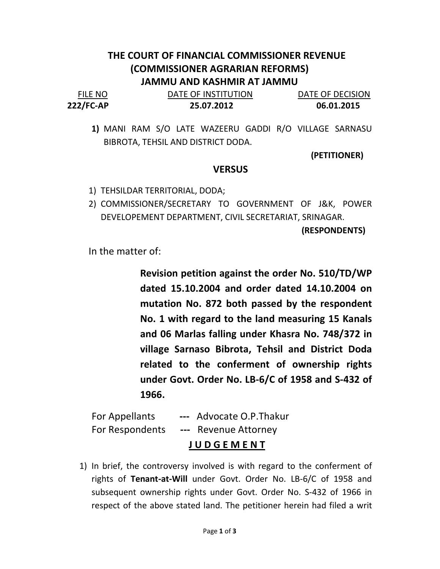## THE COURT OF FINANCIAL COMMISSIONER REVENUE (COMMISSIONER AGRARIAN REFORMS) JAMMU AND KASHMIR AT JAMMU

| <b>FILE NO</b> | DATE OF INSTITUTION | DATE OF DECISION |
|----------------|---------------------|------------------|
| 222/FC-AP      | 25.07.2012          | 06.01.2015       |

1) MANI RAM S/O LATE WAZEERU GADDI R/O VILLAGE SARNASU BIBROTA, TEHSIL AND DISTRICT DODA.

(PETITIONER)

## **VERSUS**

- 1) TEHSILDAR TERRITORIAL, DODA;
- 2) COMMISSIONER/SECRETARY TO GOVERNMENT OF J&K, POWER DEVELOPEMENT DEPARTMENT, CIVIL SECRETARIAT, SRINAGAR.

(RESPONDENTS)

In the matter of:

Revision petition against the order No. 510/TD/WP dated 15.10.2004 and order dated 14.10.2004 on mutation No. 872 both passed by the respondent No. 1 with regard to the land measuring 15 Kanals and 06 Marlas falling under Khasra No. 748/372 in village Sarnaso Bibrota, Tehsil and District Doda related to the conferment of ownership rights under Govt. Order No. LB-6/C of 1958 and S-432 of 1966.

|                 | <b>JUDGEMENT</b>         |  |
|-----------------|--------------------------|--|
| For Respondents | --- Revenue Attorney     |  |
| For Appellants  | --- Advocate O.P. Thakur |  |

1) In brief, the controversy involved is with regard to the conferment of rights of Tenant-at-Will under Govt. Order No. LB-6/C of 1958 and subsequent ownership rights under Govt. Order No. S-432 of 1966 in respect of the above stated land. The petitioner herein had filed a writ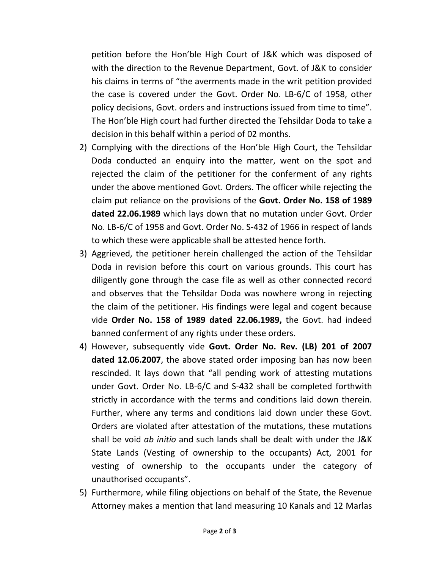petition before the Hon'ble High Court of J&K which was disposed of with the direction to the Revenue Department, Govt. of J&K to consider his claims in terms of "the averments made in the writ petition provided the case is covered under the Govt. Order No. LB-6/C of 1958, other policy decisions, Govt. orders and instructions issued from time to time". The Hon'ble High court had further directed the Tehsildar Doda to take a decision in this behalf within a period of 02 months.

- 2) Complying with the directions of the Hon'ble High Court, the Tehsildar Doda conducted an enquiry into the matter, went on the spot and rejected the claim of the petitioner for the conferment of any rights under the above mentioned Govt. Orders. The officer while rejecting the claim put reliance on the provisions of the Govt. Order No. 158 of 1989 dated 22.06.1989 which lays down that no mutation under Govt. Order No. LB-6/C of 1958 and Govt. Order No. S-432 of 1966 in respect of lands to which these were applicable shall be attested hence forth.
- 3) Aggrieved, the petitioner herein challenged the action of the Tehsildar Doda in revision before this court on various grounds. This court has diligently gone through the case file as well as other connected record and observes that the Tehsildar Doda was nowhere wrong in rejecting the claim of the petitioner. His findings were legal and cogent because vide Order No. 158 of 1989 dated 22.06.1989, the Govt. had indeed banned conferment of any rights under these orders.
- 4) However, subsequently vide Govt. Order No. Rev. (LB) 201 of 2007 dated 12.06.2007, the above stated order imposing ban has now been rescinded. It lays down that "all pending work of attesting mutations under Govt. Order No. LB-6/C and S-432 shall be completed forthwith strictly in accordance with the terms and conditions laid down therein. Further, where any terms and conditions laid down under these Govt. Orders are violated after attestation of the mutations, these mutations shall be void ab initio and such lands shall be dealt with under the J&K State Lands (Vesting of ownership to the occupants) Act, 2001 for vesting of ownership to the occupants under the category of unauthorised occupants".
- 5) Furthermore, while filing objections on behalf of the State, the Revenue Attorney makes a mention that land measuring 10 Kanals and 12 Marlas